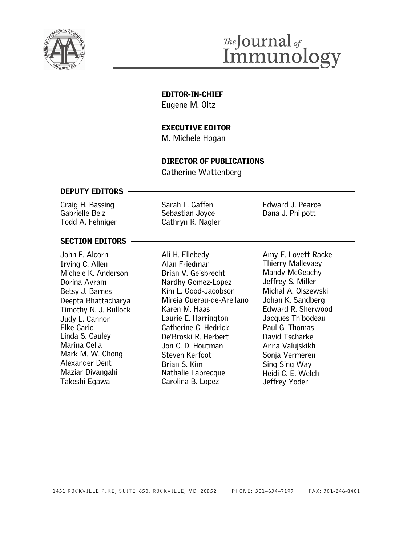

## The Journal of<br>Immunology

#### **EDITOR-IN-CHIEF**

Eugene M. Oltz

#### **EXECUTIVE EDITOR**

M. Michele Hogan

#### **DIRECTOR OF PUBLICATIONS**

Catherine Wattenberg

#### **DEPUTY EDITORS**

Craig H. Bassing Gabrielle Belz Todd A. Fehniger

Sarah L. Gaffen Sebastian Joyce Cathryn R. Nagler Edward J. Pearce Dana J. Philpott

#### **SECTION EDITORS**

John F. Alcorn Irving C. Allen Michele K. Anderson Dorina Avram Betsy J. Barnes Deepta Bhattacharya Timothy N. J. Bullock Judy L. Cannon Elke Cario Linda S. Cauley Marina Cella Mark M. W. Chong Alexander Dent Maziar Divangahi Takeshi Egawa

Ali H. Ellebedy Alan Friedman Brian V. Geisbrecht Nardhy Gomez-Lopez Kim L. Good-Jacobson Mireia Guerau-de-Arellano Karen M. Haas Laurie E. Harrington Catherine C. Hedrick oamerme o. neanok<br>De'Broski R. Herbert Jon C. D. Houtman Steven Kerfoot Brian S. Kim Nathalie Labrecque Carolina B. Lopez

Amy E. Lovett-Racke Thierry Mallevaey Mandy McGeachy Jeffrey S. Miller Michal A. Olszewski Johan K. Sandberg Edward R. Sherwood Jacques Thibodeau Paul G. Thomas David Tscharke Anna Valujskikh Sonja Vermeren Sing Sing Way Heidi C. E. Welch Jeffrey Yoder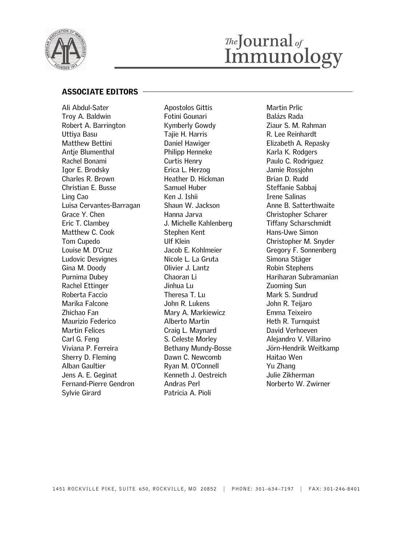

# *Ihe*Journal<sub>of</sub><br>Immunology

#### **ASSOCIATE EDITORS**

Ali Abdul-Sater Troy A. Baldwin Robert A. Barrington Uttiya Basu Matthew Bettini Antie Blumenthal Rachel Bonami Igor E. Brodsky Charles R. Brown Christian E. Busse Ling Cao Luisa Cervantes-Barragan Grace Y. Chen Eric T. Clambey Matthew C. Cook Tom Cupedo Louise M. D'Cruz Ludovic Desvignes Gina M. Doody Purnima Dubey Rachel Ettinger Roberta Faccio Marika Falcone Zhichao Fan Maurizio Federico Martin Felices Carl G. Feng Viviana P. Ferreira Sherry D. Fleming Alban Gaultier Jens A. E. Geginat Fernand-Pierre Gendron Sylvie Girard

Apostolos Gittis Fotini Gounari Kymberly Gowdy Tajie H. Harris Daniel Hawiger Philipp Henneke Curtis Henry Erica L. Herzog Heather D. Hickman Samuel Huber Ken J. Ishii Shaun W. Jackson Hanna Jarva J. Michelle Kahlenberg Stephen Kent Ulf Klein Jacob E. Kohlmeier Nicole L. La Gruta Olivier J. Lantz Chaoran Li Jinhua Lu Theresa T. Lu John R. Lukens Mary A. Markiewicz Alberto Martin Craig L. Maynard S. Celeste Morley Bethany Mundy-Bosse Dawn C. Newcomb Ryan M. O'Connell Kenneth J. Oestreich Andras Perl Patricia A. Pioli

Martin Prlic Balázs Rada Ziaur S. M. Rahman R. Lee Reinhardt Elizabeth A. Repasky Karla K. Rodgers Paulo C. Rodriguez Jamie Rossjohn Brian D. Rudd Steffanie Sabbaj Irene Salinas Anne B. Satterthwaite Christopher Scharer Tiffany Scharschmidt Hans-Uwe Simon Christopher M. Snyder Gregory F. Sonnenberg Simona Stäger Robin Stephens Hariharan Subramanian Zuoming Sun Mark S. Sundrud John R. Teijaro Emma Teixeiro Heth R. Turnquist David Verhoeven Alejandro V. Villarino Jörn-Hendrik Weitkamp Haitao Wen Yu Zhang Julie Zikherman Norberto W. Zwirner